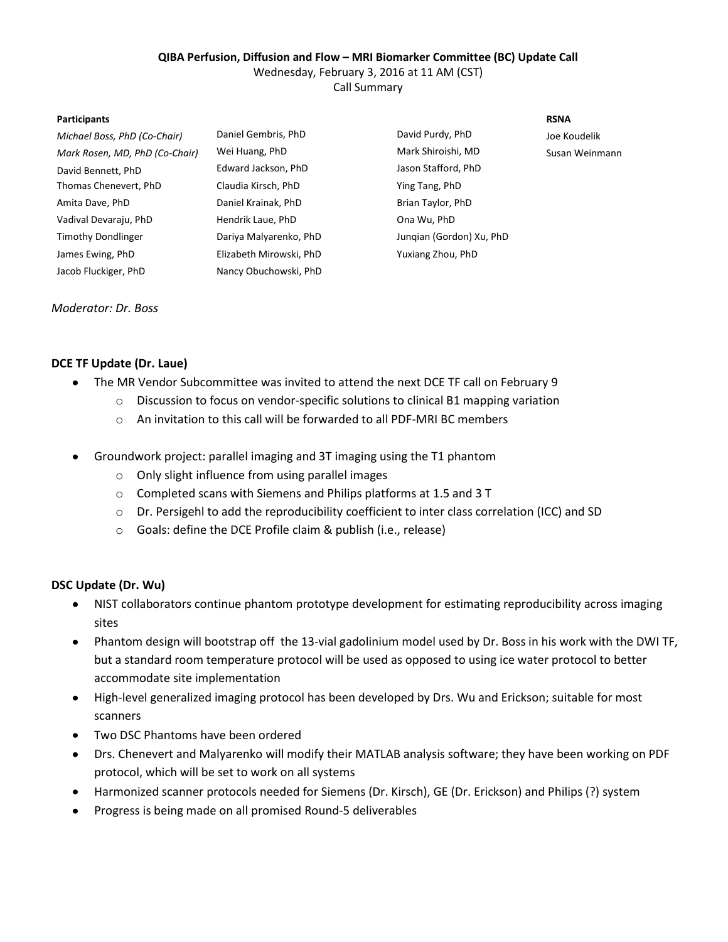#### **QIBA Perfusion, Diffusion and Flow – MRI Biomarker Committee (BC) Update Call**

Wednesday, February 3, 2016 at 11 AM (CST)

Call Summary

#### **Participants RSNA**

| Michael Boss, PhD (Co-Chair)   | Daniel Gembris, PhD     | David Purdy, PhD         | Joe Koudelik |
|--------------------------------|-------------------------|--------------------------|--------------|
| Mark Rosen, MD, PhD (Co-Chair) | Wei Huang, PhD          | Mark Shiroishi, MD       | Susan Weinr  |
| David Bennett, PhD             | Edward Jackson, PhD     | Jason Stafford, PhD      |              |
| Thomas Chenevert, PhD          | Claudia Kirsch, PhD     | Ying Tang, PhD           |              |
| Amita Dave, PhD                | Daniel Krainak, PhD     | Brian Taylor, PhD        |              |
| Vadival Devaraju, PhD          | Hendrik Laue, PhD       | Ona Wu, PhD              |              |
| Timothy Dondlinger             | Dariya Malyarenko, PhD  | Jungian (Gordon) Xu, PhD |              |
| James Ewing, PhD               | Elizabeth Mirowski, PhD | Yuxiang Zhou, PhD        |              |
| Jacob Fluckiger, PhD           | Nancy Obuchowski, PhD   |                          |              |

*Mark Rosen, MD, PhD (Co-Chair)* Wei Huang, PhD Mark Shiroishi, MD Susan Weinmann David Bennett, PhD Edward Jackson, PhD Jason Stafford, PhD I, PhD Claudia Chenevert, PhD Claudia Chenevert, PhD k, PhD **Daniel Care, PhD** Brian Taylor, PhD PhD **Devarague Devarague Deva** Ona Wu, PhD Timothy Dondlinger Dariya Malyarenko, PhD Junqian (Gordon) Xu, PhD James Ewing, PhD Elizabeth Mirowski, PhD Yuxiang Zhou, PhD

### *Moderator: Dr. Boss*

## **DCE TF Update (Dr. Laue)**

- The MR Vendor Subcommittee was invited to attend the next DCE TF call on February 9  $\bullet$ 
	- o Discussion to focus on vendor-specific solutions to clinical B1 mapping variation
	- o An invitation to this call will be forwarded to all PDF-MRI BC members
- Groundwork project: parallel imaging and 3T imaging using the T1 phantom
	- o Only slight influence from using parallel images
	- o Completed scans with Siemens and Philips platforms at 1.5 and 3 T
	- o Dr. Persigehl to add the reproducibility coefficient to inter class correlation (ICC) and SD
	- o Goals: define the DCE Profile claim & publish (i.e., release)

### **DSC Update (Dr. Wu)**

- NIST collaborators continue phantom prototype development for estimating reproducibility across imaging  $\bullet$ sites
- Phantom design will bootstrap off the 13-vial gadolinium model used by Dr. Boss in his work with the DWI TF,  $\bullet$ but a standard room temperature protocol will be used as opposed to using ice water protocol to better accommodate site implementation
- $\bullet$ High-level generalized imaging protocol has been developed by Drs. Wu and Erickson; suitable for most scanners
- Two DSC Phantoms have been ordered  $\bullet$
- Drs. Chenevert and Malyarenko will modify their MATLAB analysis software; they have been working on PDF  $\bullet$ protocol, which will be set to work on all systems
- Harmonized scanner protocols needed for Siemens (Dr. Kirsch), GE (Dr. Erickson) and Philips (?) system  $\bullet$
- $\bullet$ Progress is being made on all promised Round-5 deliverables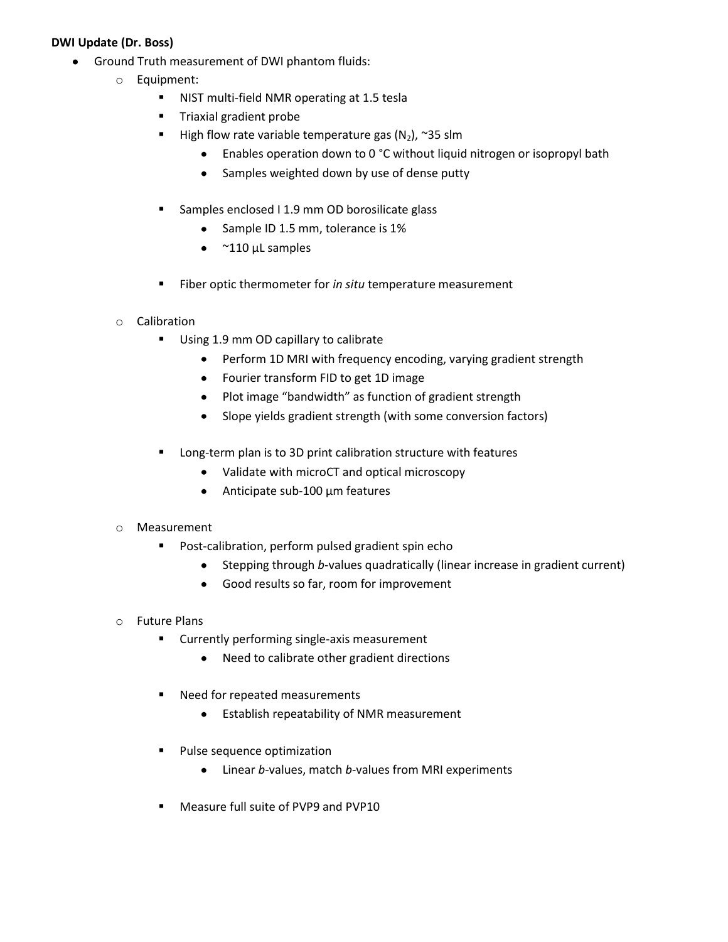# **DWI Update (Dr. Boss)**

- Ground Truth measurement of DWI phantom fluids:
	- o Equipment:
		- **NIST multi-field NMR operating at 1.5 tesla**
		- **Triaxial gradient probe**
		- High flow rate variable temperature gas  $(N_2)$ , ~35 slm
			- Enables operation down to 0 °C without liquid nitrogen or isopropyl bath
			- Samples weighted down by use of dense putty  $\bullet$
		- **Samples enclosed I 1.9 mm OD borosilicate glass** 
			- Sample ID 1.5 mm, tolerance is 1%  $\bullet$
			- $\bullet$  $~^{\sim}$ 110 μL samples
		- Fiber optic thermometer for *in situ* temperature measurement
	- o Calibration
		- Using 1.9 mm OD capillary to calibrate
			- Perform 1D MRI with frequency encoding, varying gradient strength  $\bullet$
			- Fourier transform FID to get 1D image
			- Plot image "bandwidth" as function of gradient strength
			- Slope yields gradient strength (with some conversion factors)  $\bullet$
		- **EXTER** Long-term plan is to 3D print calibration structure with features
			- Validate with microCT and optical microscopy
			- Anticipate sub-100 μm features  $\bullet$

### o Measurement

- **Post-calibration, perform pulsed gradient spin echo** 
	- Stepping through *b*-values quadratically (linear increase in gradient current)  $\bullet$
	- Good results so far, room for improvement  $\bullet$

### o Future Plans

- **EXECUTE:** Currently performing single-axis measurement
	- $\bullet$ Need to calibrate other gradient directions
- **Need for repeated measurements** 
	- Establish repeatability of NMR measurement  $\bullet$
- **Pulse sequence optimization** 
	- $\bullet$ Linear *b*-values, match *b*-values from MRI experiments
- **Measure full suite of PVP9 and PVP10**